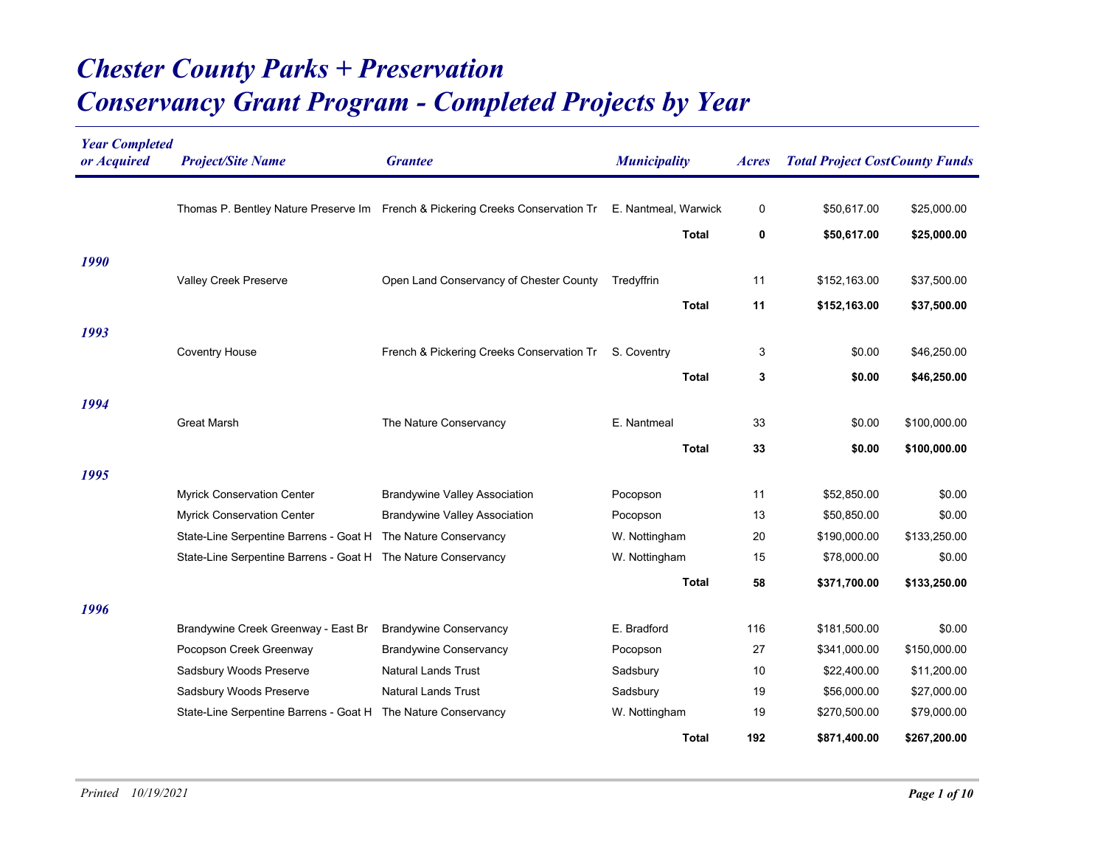## *Conservancy Grant Program - Completed Projects by Year Chester County Parks + Preservation*

| <b>Year Completed</b><br>or Acquired | <b>Project/Site Name</b>                                      | <b>Grantee</b>                                                                 | <b>Municipality</b>  | <i>Acres</i> | <b>Total Project CostCounty Funds</b> |              |
|--------------------------------------|---------------------------------------------------------------|--------------------------------------------------------------------------------|----------------------|--------------|---------------------------------------|--------------|
|                                      |                                                               | Thomas P. Bentley Nature Preserve Im French & Pickering Creeks Conservation Tr | E. Nantmeal, Warwick | 0            | \$50,617.00                           | \$25,000.00  |
|                                      |                                                               |                                                                                | <b>Total</b>         | 0            | \$50,617.00                           | \$25,000.00  |
| 1990                                 |                                                               |                                                                                |                      |              |                                       |              |
|                                      | Valley Creek Preserve                                         | Open Land Conservancy of Chester County                                        | Tredyffrin           | 11           | \$152,163.00                          | \$37,500.00  |
|                                      |                                                               |                                                                                | Total                | 11           | \$152,163.00                          | \$37,500.00  |
| 1993                                 |                                                               |                                                                                |                      |              |                                       |              |
|                                      | <b>Coventry House</b>                                         | French & Pickering Creeks Conservation Tr                                      | S. Coventry          | 3            | \$0.00                                | \$46,250.00  |
|                                      |                                                               |                                                                                | <b>Total</b>         | 3            | \$0.00                                | \$46,250.00  |
| 1994                                 |                                                               |                                                                                |                      |              |                                       |              |
|                                      | <b>Great Marsh</b>                                            | The Nature Conservancy                                                         | E. Nantmeal          | 33           | \$0.00                                | \$100,000.00 |
|                                      |                                                               |                                                                                | <b>Total</b>         | 33           | \$0.00                                | \$100,000.00 |
| 1995                                 |                                                               |                                                                                |                      |              |                                       |              |
|                                      | Myrick Conservation Center                                    | <b>Brandywine Valley Association</b>                                           | Pocopson             | 11           | \$52,850.00                           | \$0.00       |
|                                      | Myrick Conservation Center                                    | <b>Brandywine Valley Association</b>                                           | Pocopson             | 13           | \$50,850.00                           | \$0.00       |
|                                      | State-Line Serpentine Barrens - Goat H                        | The Nature Conservancy                                                         | W. Nottingham        | 20           | \$190,000.00                          | \$133,250.00 |
|                                      | State-Line Serpentine Barrens - Goat H The Nature Conservancy |                                                                                | W. Nottingham        | 15           | \$78,000.00                           | \$0.00       |
|                                      |                                                               |                                                                                | Total                | 58           | \$371,700.00                          | \$133,250.00 |
| 1996                                 |                                                               |                                                                                |                      |              |                                       |              |
|                                      | Brandywine Creek Greenway - East Br                           | <b>Brandywine Conservancy</b>                                                  | E. Bradford          | 116          | \$181,500.00                          | \$0.00       |
|                                      | Pocopson Creek Greenway                                       | <b>Brandywine Conservancy</b>                                                  | Pocopson             | 27           | \$341,000.00                          | \$150,000.00 |
|                                      | Sadsbury Woods Preserve                                       | <b>Natural Lands Trust</b>                                                     | Sadsbury             | 10           | \$22,400.00                           | \$11,200.00  |
|                                      | Sadsbury Woods Preserve                                       | <b>Natural Lands Trust</b>                                                     | Sadsbury             | 19           | \$56,000.00                           | \$27,000.00  |
|                                      | State-Line Serpentine Barrens - Goat H The Nature Conservancy |                                                                                | W. Nottingham        | 19           | \$270,500.00                          | \$79,000.00  |
|                                      |                                                               |                                                                                | Total                | 192          | \$871,400.00                          | \$267,200.00 |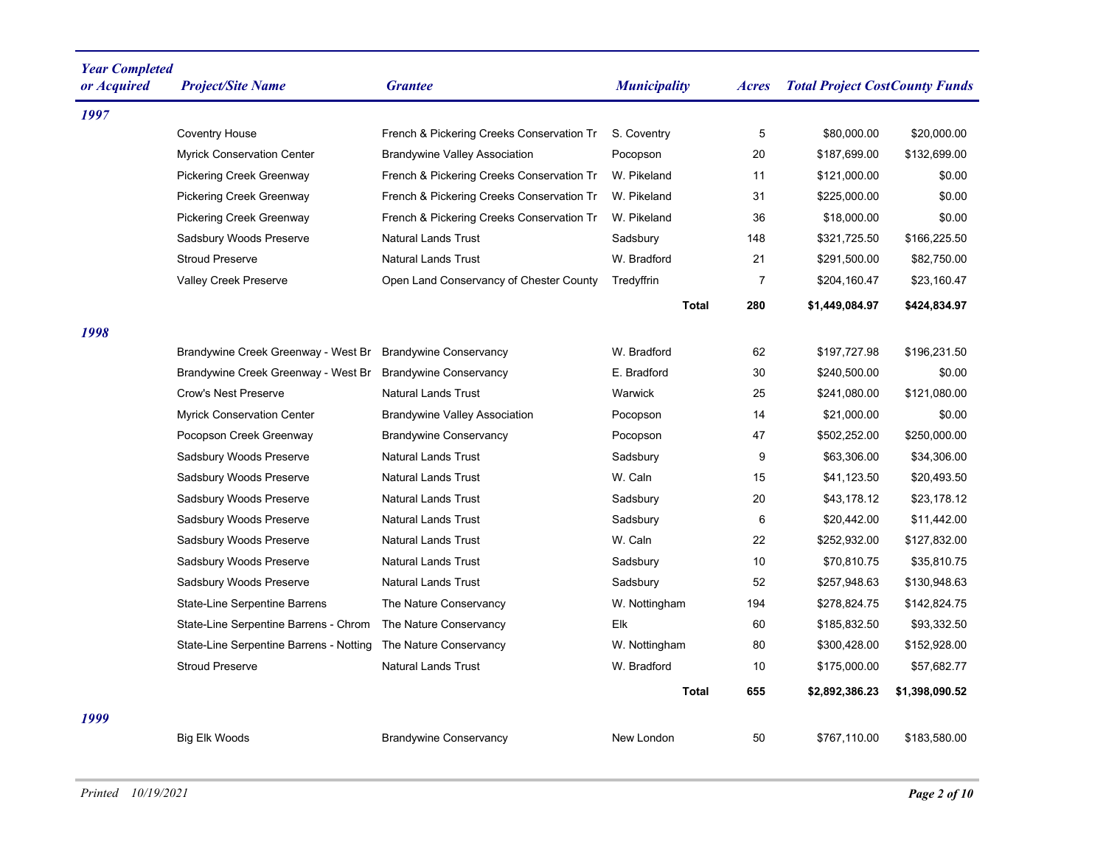| <b>Year Completed</b><br>or Acquired | <b>Project/Site Name</b>                | <b>Grantee</b>                            | <b>Municipality</b> | <i>Acres</i>   | <b>Total Project CostCounty Funds</b> |                |
|--------------------------------------|-----------------------------------------|-------------------------------------------|---------------------|----------------|---------------------------------------|----------------|
| 1997                                 |                                         |                                           |                     |                |                                       |                |
|                                      | <b>Coventry House</b>                   | French & Pickering Creeks Conservation Tr | S. Coventry         | 5              | \$80,000.00                           | \$20,000.00    |
|                                      | <b>Myrick Conservation Center</b>       | <b>Brandywine Valley Association</b>      | Pocopson            | 20             | \$187,699.00                          | \$132,699.00   |
|                                      | <b>Pickering Creek Greenway</b>         | French & Pickering Creeks Conservation Tr | W. Pikeland         | 11             | \$121,000.00                          | \$0.00         |
|                                      | <b>Pickering Creek Greenway</b>         | French & Pickering Creeks Conservation Tr | W. Pikeland         | 31             | \$225,000.00                          | \$0.00         |
|                                      | <b>Pickering Creek Greenway</b>         | French & Pickering Creeks Conservation Tr | W. Pikeland         | 36             | \$18,000.00                           | \$0.00         |
|                                      | Sadsbury Woods Preserve                 | <b>Natural Lands Trust</b>                | Sadsbury            | 148            | \$321,725.50                          | \$166,225.50   |
|                                      | <b>Stroud Preserve</b>                  | <b>Natural Lands Trust</b>                | W. Bradford         | 21             | \$291,500.00                          | \$82,750.00    |
|                                      | Valley Creek Preserve                   | Open Land Conservancy of Chester County   | Tredyffrin          | $\overline{7}$ | \$204,160.47                          | \$23,160.47    |
|                                      |                                         |                                           | <b>Total</b>        | 280            | \$1,449,084.97                        | \$424,834.97   |
| 1998                                 |                                         |                                           |                     |                |                                       |                |
|                                      | Brandywine Creek Greenway - West Br     | <b>Brandywine Conservancy</b>             | W. Bradford         | 62             | \$197,727.98                          | \$196,231.50   |
|                                      | Brandywine Creek Greenway - West Br     | <b>Brandywine Conservancy</b>             | E. Bradford         | 30             | \$240,500.00                          | \$0.00         |
|                                      | <b>Crow's Nest Preserve</b>             | <b>Natural Lands Trust</b>                | Warwick             | 25             | \$241,080.00                          | \$121,080.00   |
|                                      | <b>Myrick Conservation Center</b>       | <b>Brandywine Valley Association</b>      | Pocopson            | 14             | \$21,000.00                           | \$0.00         |
|                                      | Pocopson Creek Greenway                 | <b>Brandywine Conservancy</b>             | Pocopson            | 47             | \$502,252.00                          | \$250,000.00   |
|                                      | Sadsbury Woods Preserve                 | <b>Natural Lands Trust</b>                | Sadsbury            | 9              | \$63,306.00                           | \$34,306.00    |
|                                      | Sadsbury Woods Preserve                 | <b>Natural Lands Trust</b>                | W. Caln             | 15             | \$41,123.50                           | \$20,493.50    |
|                                      | Sadsbury Woods Preserve                 | <b>Natural Lands Trust</b>                | Sadsbury            | 20             | \$43,178.12                           | \$23,178.12    |
|                                      | Sadsbury Woods Preserve                 | <b>Natural Lands Trust</b>                | Sadsbury            | 6              | \$20,442.00                           | \$11,442.00    |
|                                      | Sadsbury Woods Preserve                 | <b>Natural Lands Trust</b>                | W. Caln             | 22             | \$252,932.00                          | \$127,832.00   |
|                                      | Sadsbury Woods Preserve                 | <b>Natural Lands Trust</b>                | Sadsbury            | 10             | \$70,810.75                           | \$35,810.75    |
|                                      | Sadsbury Woods Preserve                 | <b>Natural Lands Trust</b>                | Sadsbury            | 52             | \$257,948.63                          | \$130,948.63   |
|                                      | State-Line Serpentine Barrens           | The Nature Conservancy                    | W. Nottingham       | 194            | \$278,824.75                          | \$142,824.75   |
|                                      | State-Line Serpentine Barrens - Chrom   | The Nature Conservancy                    | Elk                 | 60             | \$185,832.50                          | \$93,332.50    |
|                                      | State-Line Serpentine Barrens - Notting | The Nature Conservancy                    | W. Nottingham       | 80             | \$300,428.00                          | \$152,928.00   |
|                                      | <b>Stroud Preserve</b>                  | <b>Natural Lands Trust</b>                | W. Bradford         | 10             | \$175,000.00                          | \$57,682.77    |
|                                      |                                         |                                           | <b>Total</b>        | 655            | \$2,892,386.23                        | \$1,398,090.52 |
| 1999                                 |                                         |                                           |                     |                |                                       |                |
|                                      | <b>Big Elk Woods</b>                    | <b>Brandywine Conservancy</b>             | New London          | 50             | \$767,110.00                          | \$183,580.00   |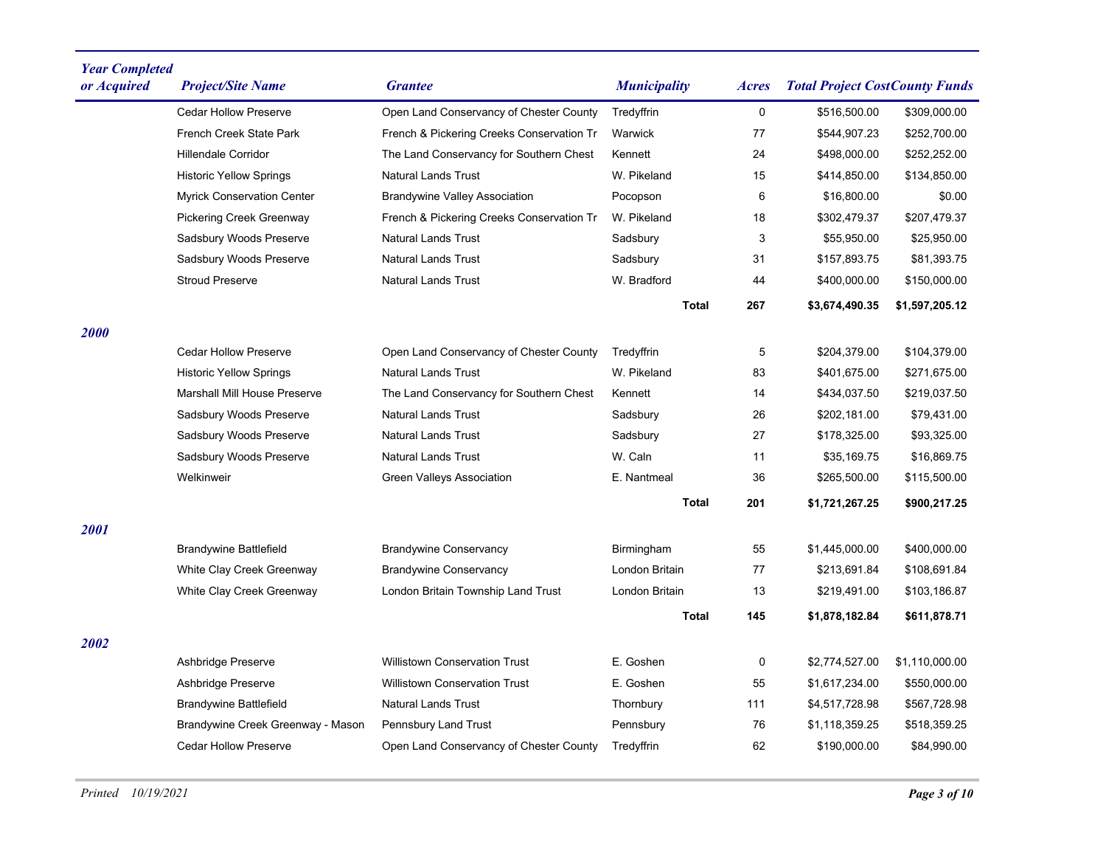| <b>Year Completed</b><br>or Acquired | <b>Project/Site Name</b>            | <b>Grantee</b>                            | <b>Municipality</b> | <b>Acres</b> | <b>Total Project CostCounty Funds</b> |                |
|--------------------------------------|-------------------------------------|-------------------------------------------|---------------------|--------------|---------------------------------------|----------------|
|                                      | <b>Cedar Hollow Preserve</b>        | Open Land Conservancy of Chester County   | Tredyffrin          | 0            | \$516,500.00                          | \$309,000.00   |
|                                      | French Creek State Park             | French & Pickering Creeks Conservation Tr | Warwick             | 77           | \$544,907.23                          | \$252,700.00   |
|                                      | <b>Hillendale Corridor</b>          | The Land Conservancy for Southern Chest   | Kennett             | 24           | \$498,000.00                          | \$252,252.00   |
|                                      | <b>Historic Yellow Springs</b>      | <b>Natural Lands Trust</b>                | W. Pikeland         | 15           | \$414,850.00                          | \$134,850.00   |
|                                      | <b>Myrick Conservation Center</b>   | <b>Brandywine Valley Association</b>      | Pocopson            | 6            | \$16,800.00                           | \$0.00         |
|                                      | Pickering Creek Greenway            | French & Pickering Creeks Conservation Tr | W. Pikeland         | 18           | \$302,479.37                          | \$207,479.37   |
|                                      | Sadsbury Woods Preserve             | <b>Natural Lands Trust</b>                | Sadsbury            | 3            | \$55,950.00                           | \$25,950.00    |
|                                      | Sadsbury Woods Preserve             | <b>Natural Lands Trust</b>                | Sadsbury            | 31           | \$157,893.75                          | \$81,393.75    |
|                                      | <b>Stroud Preserve</b>              | <b>Natural Lands Trust</b>                | W. Bradford         | 44           | \$400,000.00                          | \$150,000.00   |
|                                      |                                     |                                           | <b>Total</b>        | 267          | \$3,674,490.35                        | \$1,597,205.12 |
| <b>2000</b>                          |                                     |                                           |                     |              |                                       |                |
|                                      | <b>Cedar Hollow Preserve</b>        | Open Land Conservancy of Chester County   | Tredyffrin          | 5            | \$204,379.00                          | \$104,379.00   |
|                                      | <b>Historic Yellow Springs</b>      | <b>Natural Lands Trust</b>                | W. Pikeland         | 83           | \$401,675.00                          | \$271,675.00   |
|                                      | <b>Marshall Mill House Preserve</b> | The Land Conservancy for Southern Chest   | Kennett             | 14           | \$434,037.50                          | \$219,037.50   |
|                                      | Sadsbury Woods Preserve             | <b>Natural Lands Trust</b>                | Sadsbury            | 26           | \$202,181.00                          | \$79,431.00    |
|                                      | Sadsbury Woods Preserve             | <b>Natural Lands Trust</b>                | Sadsbury            | 27           | \$178,325.00                          | \$93,325.00    |
|                                      | Sadsbury Woods Preserve             | <b>Natural Lands Trust</b>                | W. Caln             | 11           | \$35,169.75                           | \$16,869.75    |
|                                      | Welkinweir                          | <b>Green Valleys Association</b>          | E. Nantmeal         | 36           | \$265,500.00                          | \$115,500.00   |
|                                      |                                     |                                           | <b>Total</b>        | 201          | \$1,721,267.25                        | \$900,217.25   |
| 2001                                 |                                     |                                           |                     |              |                                       |                |
|                                      | <b>Brandywine Battlefield</b>       | <b>Brandywine Conservancy</b>             | Birmingham          | 55           | \$1,445,000.00                        | \$400,000.00   |
|                                      | White Clay Creek Greenway           | <b>Brandywine Conservancy</b>             | London Britain      | 77           | \$213,691.84                          | \$108,691.84   |
|                                      | White Clay Creek Greenway           | London Britain Township Land Trust        | London Britain      | 13           | \$219,491.00                          | \$103,186.87   |
|                                      |                                     |                                           | Total               | 145          | \$1,878,182.84                        | \$611,878.71   |
| 2002                                 |                                     |                                           |                     |              |                                       |                |
|                                      | Ashbridge Preserve                  | <b>Willistown Conservation Trust</b>      | E. Goshen           | 0            | \$2,774,527.00                        | \$1,110,000.00 |
|                                      | Ashbridge Preserve                  | <b>Willistown Conservation Trust</b>      | E. Goshen           | 55           | \$1,617,234.00                        | \$550,000.00   |
|                                      | <b>Brandywine Battlefield</b>       | <b>Natural Lands Trust</b>                | Thornbury           | 111          | \$4,517,728.98                        | \$567,728.98   |
|                                      | Brandywine Creek Greenway - Mason   | Pennsbury Land Trust                      | Pennsbury           | 76           | \$1,118,359.25                        | \$518,359.25   |
|                                      | <b>Cedar Hollow Preserve</b>        | Open Land Conservancy of Chester County   | Tredyffrin          | 62           | \$190,000.00                          | \$84,990.00    |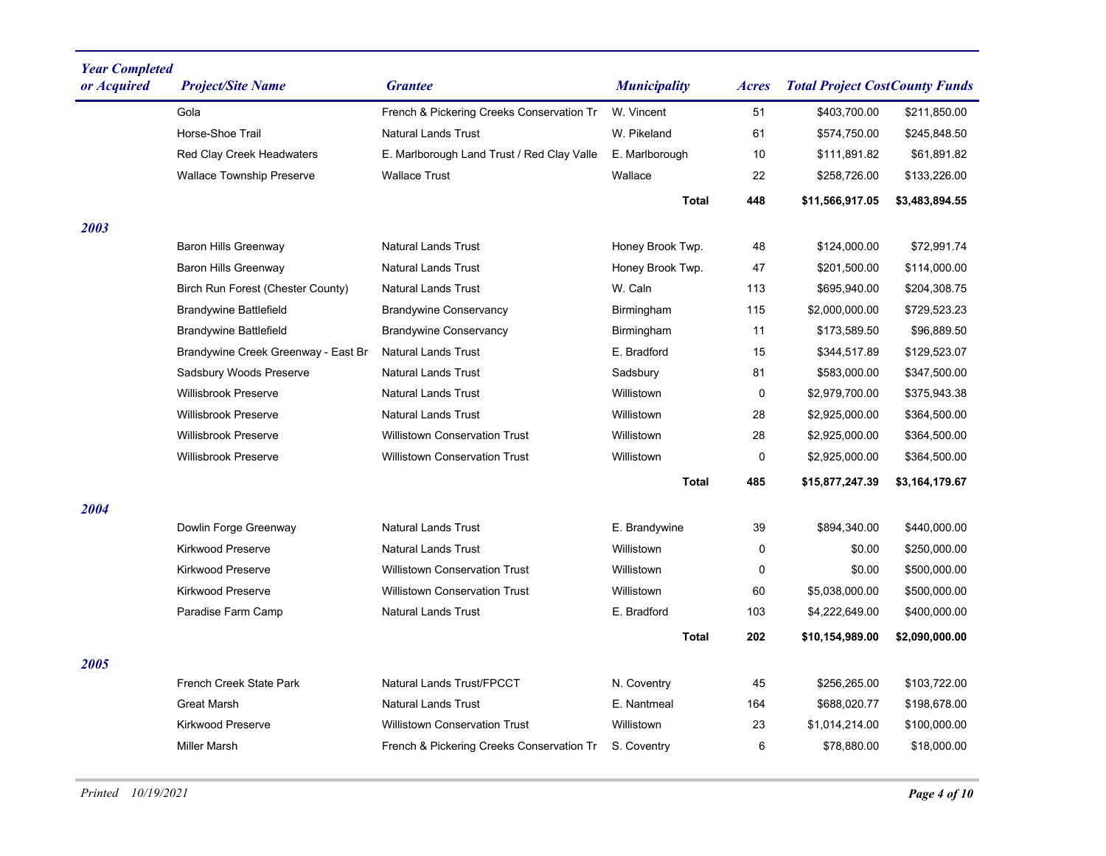| <b>Year Completed</b><br>or Acquired | <b>Project/Site Name</b>            | <b>Grantee</b>                             | <b>Municipality</b> | <i>Acres</i> | <b>Total Project CostCounty Funds</b> |                |
|--------------------------------------|-------------------------------------|--------------------------------------------|---------------------|--------------|---------------------------------------|----------------|
|                                      | Gola                                | French & Pickering Creeks Conservation Tr  | W. Vincent          | 51           | \$403,700.00                          | \$211,850.00   |
|                                      | Horse-Shoe Trail                    | <b>Natural Lands Trust</b>                 | W. Pikeland         | 61           | \$574,750.00                          | \$245,848.50   |
|                                      | Red Clay Creek Headwaters           | E. Marlborough Land Trust / Red Clay Valle | E. Marlborough      | 10           | \$111,891.82                          | \$61,891.82    |
|                                      | <b>Wallace Township Preserve</b>    | <b>Wallace Trust</b>                       | Wallace             | 22           | \$258,726.00                          | \$133,226.00   |
|                                      |                                     |                                            | <b>Total</b>        | 448          | \$11,566,917.05                       | \$3,483,894.55 |
| 2003                                 |                                     |                                            |                     |              |                                       |                |
|                                      | <b>Baron Hills Greenway</b>         | <b>Natural Lands Trust</b>                 | Honey Brook Twp.    | 48           | \$124,000.00                          | \$72,991.74    |
|                                      | <b>Baron Hills Greenway</b>         | <b>Natural Lands Trust</b>                 | Honey Brook Twp.    | 47           | \$201,500.00                          | \$114,000.00   |
|                                      | Birch Run Forest (Chester County)   | <b>Natural Lands Trust</b>                 | W. Caln             | 113          | \$695,940.00                          | \$204,308.75   |
|                                      | <b>Brandywine Battlefield</b>       | <b>Brandywine Conservancy</b>              | Birmingham          | 115          | \$2,000,000.00                        | \$729,523.23   |
|                                      | <b>Brandywine Battlefield</b>       | <b>Brandywine Conservancy</b>              | Birmingham          | 11           | \$173,589.50                          | \$96,889.50    |
|                                      | Brandywine Creek Greenway - East Br | <b>Natural Lands Trust</b>                 | E. Bradford         | 15           | \$344,517.89                          | \$129,523.07   |
|                                      | Sadsbury Woods Preserve             | <b>Natural Lands Trust</b>                 | Sadsbury            | 81           | \$583,000.00                          | \$347,500.00   |
|                                      | <b>Willisbrook Preserve</b>         | <b>Natural Lands Trust</b>                 | Willistown          | 0            | \$2,979,700.00                        | \$375,943.38   |
|                                      | <b>Willisbrook Preserve</b>         | <b>Natural Lands Trust</b>                 | Willistown          | 28           | \$2,925,000.00                        | \$364,500.00   |
|                                      | Willisbrook Preserve                | <b>Willistown Conservation Trust</b>       | Willistown          | 28           | \$2,925,000.00                        | \$364,500.00   |
|                                      | Willisbrook Preserve                | <b>Willistown Conservation Trust</b>       | Willistown          | 0            | \$2,925,000.00                        | \$364,500.00   |
|                                      |                                     |                                            | Total               | 485          | \$15,877,247.39                       | \$3,164,179.67 |
| <i><b>2004</b></i>                   |                                     |                                            |                     |              |                                       |                |
|                                      | Dowlin Forge Greenway               | <b>Natural Lands Trust</b>                 | E. Brandywine       | 39           | \$894,340.00                          | \$440,000.00   |
|                                      | <b>Kirkwood Preserve</b>            | <b>Natural Lands Trust</b>                 | Willistown          | 0            | \$0.00                                | \$250,000.00   |
|                                      | <b>Kirkwood Preserve</b>            | <b>Willistown Conservation Trust</b>       | Willistown          | 0            | \$0.00                                | \$500,000.00   |
|                                      | <b>Kirkwood Preserve</b>            | <b>Willistown Conservation Trust</b>       | Willistown          | 60           | \$5,038,000.00                        | \$500,000.00   |
|                                      | Paradise Farm Camp                  | <b>Natural Lands Trust</b>                 | E. Bradford         | 103          | \$4,222,649.00                        | \$400,000.00   |
|                                      |                                     |                                            | <b>Total</b>        | 202          | \$10,154,989.00                       | \$2,090,000.00 |
| <i><b>2005</b></i>                   |                                     |                                            |                     |              |                                       |                |
|                                      | French Creek State Park             | Natural Lands Trust/FPCCT                  | N. Coventry         | 45           | \$256,265.00                          | \$103,722.00   |
|                                      | <b>Great Marsh</b>                  | Natural Lands Trust                        | E. Nantmeal         | 164          | \$688,020.77                          | \$198,678.00   |
|                                      | Kirkwood Preserve                   | Willistown Conservation Trust              | Willistown          | 23           | \$1,014,214.00                        | \$100,000.00   |
|                                      | <b>Miller Marsh</b>                 | French & Pickering Creeks Conservation Tr  | S. Coventry         | 6            | \$78,880.00                           | \$18,000.00    |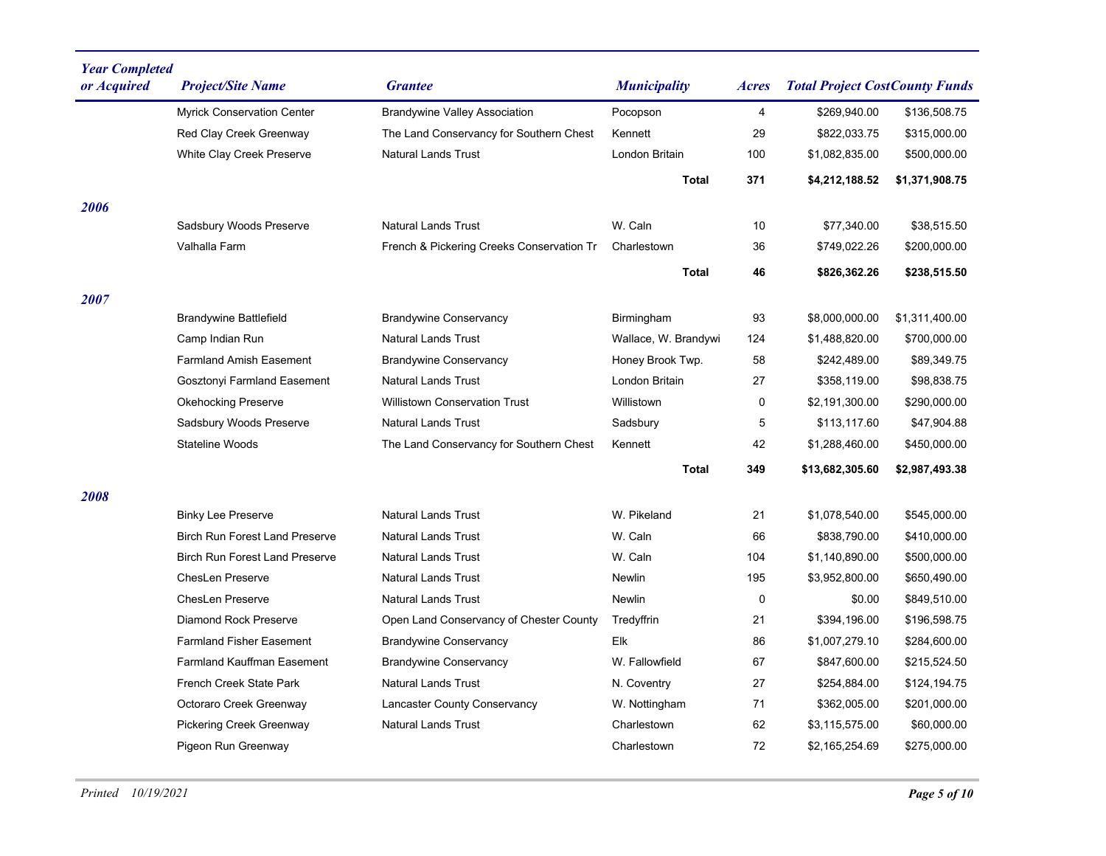| <b>Year Completed</b><br>or Acquired | <b>Project/Site Name</b>              | <b>Grantee</b>                            | <b>Municipality</b>  | Acres | <b>Total Project CostCounty Funds</b> |                |
|--------------------------------------|---------------------------------------|-------------------------------------------|----------------------|-------|---------------------------------------|----------------|
|                                      | <b>Myrick Conservation Center</b>     | <b>Brandywine Valley Association</b>      | Pocopson             | 4     | \$269,940.00                          | \$136,508.75   |
|                                      | Red Clay Creek Greenway               | The Land Conservancy for Southern Chest   | Kennett              | 29    | \$822,033.75                          | \$315,000.00   |
|                                      | White Clay Creek Preserve             | <b>Natural Lands Trust</b>                | London Britain       | 100   | \$1,082,835.00                        | \$500,000.00   |
|                                      |                                       |                                           | Total                | 371   | \$4,212,188.52                        | \$1,371,908.75 |
| 2006                                 |                                       |                                           |                      |       |                                       |                |
|                                      | Sadsbury Woods Preserve               | <b>Natural Lands Trust</b>                | W. Caln              | 10    | \$77,340.00                           | \$38,515.50    |
|                                      | Valhalla Farm                         | French & Pickering Creeks Conservation Tr | Charlestown          | 36    | \$749,022.26                          | \$200,000.00   |
|                                      |                                       |                                           | <b>Total</b>         | 46    | \$826,362.26                          | \$238,515.50   |
| 2007                                 |                                       |                                           |                      |       |                                       |                |
|                                      | Brandywine Battlefield                | <b>Brandywine Conservancy</b>             | Birmingham           | 93    | \$8,000,000.00                        | \$1,311,400.00 |
|                                      | Camp Indian Run                       | <b>Natural Lands Trust</b>                | Wallace, W. Brandywi | 124   | \$1,488,820.00                        | \$700,000.00   |
|                                      | <b>Farmland Amish Easement</b>        | <b>Brandywine Conservancy</b>             | Honey Brook Twp.     | 58    | \$242,489.00                          | \$89,349.75    |
|                                      | Gosztonyi Farmland Easement           | <b>Natural Lands Trust</b>                | London Britain       | 27    | \$358,119.00                          | \$98,838.75    |
|                                      | <b>Okehocking Preserve</b>            | <b>Willistown Conservation Trust</b>      | Willistown           | 0     | \$2,191,300.00                        | \$290,000.00   |
|                                      | Sadsbury Woods Preserve               | <b>Natural Lands Trust</b>                | Sadsbury             | 5     | \$113,117.60                          | \$47,904.88    |
|                                      | Stateline Woods                       | The Land Conservancy for Southern Chest   | Kennett              | 42    | \$1,288,460.00                        | \$450,000.00   |
|                                      |                                       |                                           | Total                | 349   | \$13,682,305.60                       | \$2,987,493.38 |
| 2008                                 |                                       |                                           |                      |       |                                       |                |
|                                      | <b>Binky Lee Preserve</b>             | <b>Natural Lands Trust</b>                | W. Pikeland          | 21    | \$1,078,540.00                        | \$545,000.00   |
|                                      | <b>Birch Run Forest Land Preserve</b> | <b>Natural Lands Trust</b>                | W. Caln              | 66    | \$838,790.00                          | \$410,000.00   |
|                                      | <b>Birch Run Forest Land Preserve</b> | <b>Natural Lands Trust</b>                | W. Caln              | 104   | \$1,140,890.00                        | \$500,000.00   |
|                                      | <b>ChesLen Preserve</b>               | <b>Natural Lands Trust</b>                | Newlin               | 195   | \$3,952,800.00                        | \$650,490.00   |
|                                      | <b>ChesLen Preserve</b>               | <b>Natural Lands Trust</b>                | <b>Newlin</b>        | 0     | \$0.00                                | \$849,510.00   |
|                                      | <b>Diamond Rock Preserve</b>          | Open Land Conservancy of Chester County   | Tredyffrin           | 21    | \$394,196.00                          | \$196,598.75   |
|                                      | <b>Farmland Fisher Easement</b>       | <b>Brandywine Conservancy</b>             | Elk                  | 86    | \$1,007,279.10                        | \$284,600.00   |
|                                      | <b>Farmland Kauffman Easement</b>     | <b>Brandywine Conservancy</b>             | W. Fallowfield       | 67    | \$847,600.00                          | \$215,524.50   |
|                                      | French Creek State Park               | <b>Natural Lands Trust</b>                | N. Coventry          | 27    | \$254,884.00                          | \$124,194.75   |
|                                      | Octoraro Creek Greenway               | Lancaster County Conservancy              | W. Nottingham        | 71    | \$362,005.00                          | \$201,000.00   |
|                                      | <b>Pickering Creek Greenway</b>       | <b>Natural Lands Trust</b>                | Charlestown          | 62    | \$3,115,575.00                        | \$60,000.00    |
|                                      | Pigeon Run Greenway                   |                                           | Charlestown          | 72    | \$2,165,254.69                        | \$275,000.00   |
|                                      |                                       |                                           |                      |       |                                       |                |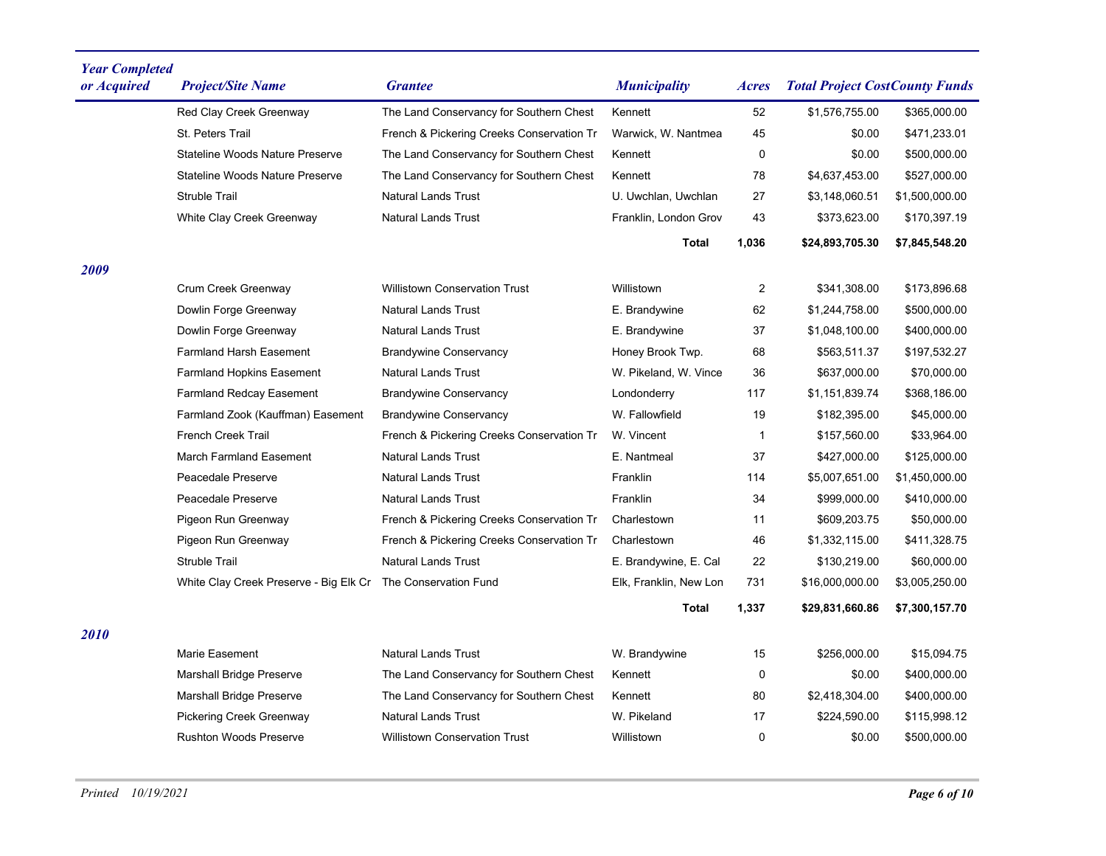| <b>Year Completed</b><br>or Acquired | <b>Project/Site Name</b>               | <b>Grantee</b>                            | <b>Municipality</b>    | Acres        | <b>Total Project CostCounty Funds</b> |                |
|--------------------------------------|----------------------------------------|-------------------------------------------|------------------------|--------------|---------------------------------------|----------------|
|                                      | Red Clay Creek Greenway                | The Land Conservancy for Southern Chest   | Kennett                | 52           | \$1,576,755.00                        | \$365,000.00   |
|                                      | St. Peters Trail                       | French & Pickering Creeks Conservation Tr | Warwick, W. Nantmea    | 45           | \$0.00                                | \$471,233.01   |
|                                      | Stateline Woods Nature Preserve        | The Land Conservancy for Southern Chest   | Kennett                | 0            | \$0.00                                | \$500,000.00   |
|                                      | <b>Stateline Woods Nature Preserve</b> | The Land Conservancy for Southern Chest   | Kennett                | 78           | \$4,637,453.00                        | \$527,000.00   |
|                                      | <b>Struble Trail</b>                   | <b>Natural Lands Trust</b>                | U. Uwchlan, Uwchlan    | 27           | \$3,148,060.51                        | \$1,500,000.00 |
|                                      | White Clay Creek Greenway              | <b>Natural Lands Trust</b>                | Franklin, London Grov  | 43           | \$373,623.00                          | \$170,397.19   |
|                                      |                                        |                                           | Total                  | 1,036        | \$24,893,705.30                       | \$7,845,548.20 |
| 2009                                 |                                        |                                           |                        |              |                                       |                |
|                                      | Crum Creek Greenway                    | <b>Willistown Conservation Trust</b>      | Willistown             | 2            | \$341,308.00                          | \$173,896.68   |
|                                      | Dowlin Forge Greenway                  | <b>Natural Lands Trust</b>                | E. Brandywine          | 62           | \$1,244,758.00                        | \$500,000.00   |
|                                      | Dowlin Forge Greenway                  | <b>Natural Lands Trust</b>                | E. Brandywine          | 37           | \$1,048,100.00                        | \$400,000.00   |
|                                      | <b>Farmland Harsh Easement</b>         | <b>Brandywine Conservancy</b>             | Honey Brook Twp.       | 68           | \$563,511.37                          | \$197,532.27   |
|                                      | <b>Farmland Hopkins Easement</b>       | <b>Natural Lands Trust</b>                | W. Pikeland, W. Vince  | 36           | \$637,000.00                          | \$70,000.00    |
|                                      | <b>Farmland Redcay Easement</b>        | <b>Brandywine Conservancy</b>             | Londonderry            | 117          | \$1,151,839.74                        | \$368,186.00   |
|                                      | Farmland Zook (Kauffman) Easement      | <b>Brandywine Conservancy</b>             | W. Fallowfield         | 19           | \$182,395.00                          | \$45,000.00    |
|                                      | <b>French Creek Trail</b>              | French & Pickering Creeks Conservation Tr | W. Vincent             | $\mathbf{1}$ | \$157,560.00                          | \$33,964.00    |
|                                      | <b>March Farmland Easement</b>         | <b>Natural Lands Trust</b>                | E. Nantmeal            | 37           | \$427,000.00                          | \$125,000.00   |
|                                      | Peacedale Preserve                     | <b>Natural Lands Trust</b>                | Franklin               | 114          | \$5,007,651.00                        | \$1,450,000.00 |
|                                      | Peacedale Preserve                     | <b>Natural Lands Trust</b>                | Franklin               | 34           | \$999,000.00                          | \$410,000.00   |
|                                      | Pigeon Run Greenway                    | French & Pickering Creeks Conservation Tr | Charlestown            | 11           | \$609,203.75                          | \$50,000.00    |
|                                      | Pigeon Run Greenway                    | French & Pickering Creeks Conservation Tr | Charlestown            | 46           | \$1,332,115.00                        | \$411,328.75   |
|                                      | <b>Struble Trail</b>                   | <b>Natural Lands Trust</b>                | E. Brandywine, E. Cal  | 22           | \$130,219.00                          | \$60,000.00    |
|                                      | White Clay Creek Preserve - Big Elk Cr | The Conservation Fund                     | Elk, Franklin, New Lon | 731          | \$16,000,000.00                       | \$3,005,250.00 |
|                                      |                                        |                                           | Total                  | 1,337        | \$29,831,660.86                       | \$7,300,157.70 |
| 2010                                 |                                        |                                           |                        |              |                                       |                |
|                                      | Marie Easement                         | <b>Natural Lands Trust</b>                | W. Brandywine          | 15           | \$256,000.00                          | \$15,094.75    |
|                                      | <b>Marshall Bridge Preserve</b>        | The Land Conservancy for Southern Chest   | Kennett                | 0            | \$0.00                                | \$400,000.00   |
|                                      | Marshall Bridge Preserve               | The Land Conservancy for Southern Chest   | Kennett                | 80           | \$2,418,304.00                        | \$400,000.00   |
|                                      | <b>Pickering Creek Greenway</b>        | <b>Natural Lands Trust</b>                | W. Pikeland            | 17           | \$224,590.00                          | \$115,998.12   |
|                                      | <b>Rushton Woods Preserve</b>          | <b>Willistown Conservation Trust</b>      | Willistown             | 0            | \$0.00                                | \$500,000.00   |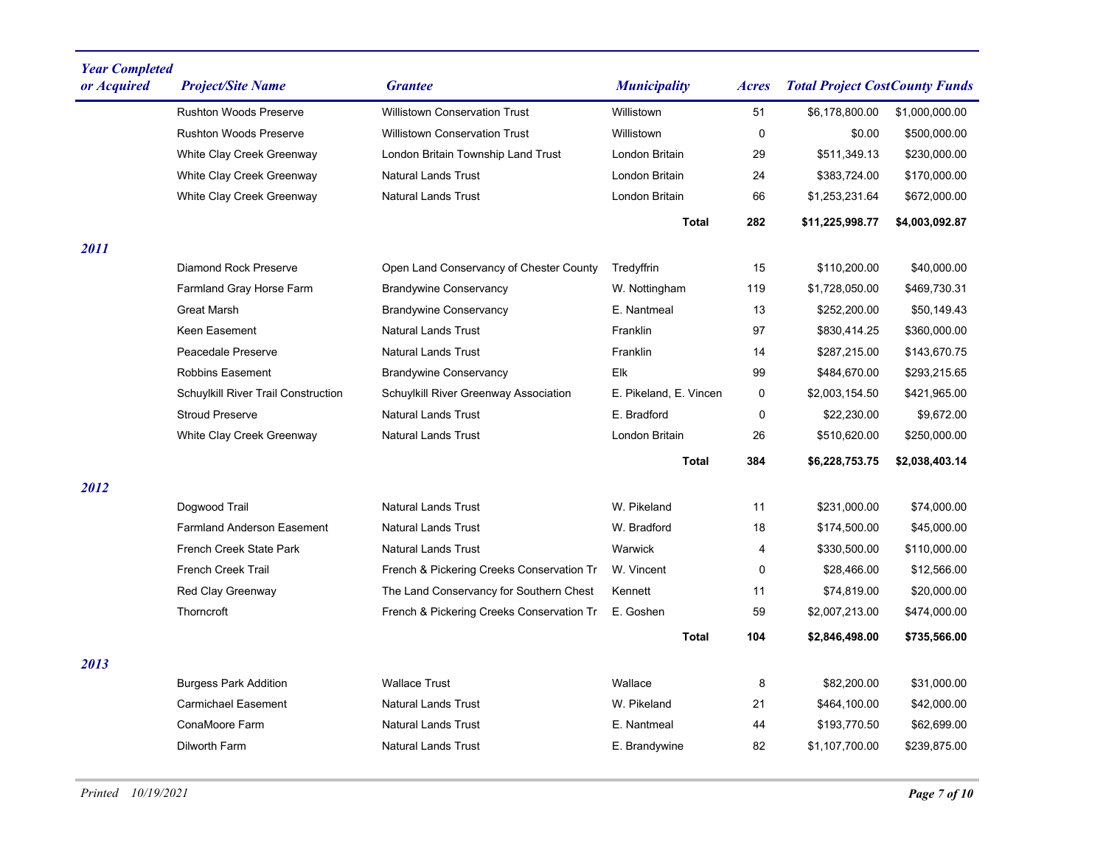| <b>Year Completed</b><br>or Acquired | <b>Project/Site Name</b>            | <b>Grantee</b>                            | <b>Municipality</b>    | <b>Acres</b> | <b>Total Project CostCounty Funds</b> |                |
|--------------------------------------|-------------------------------------|-------------------------------------------|------------------------|--------------|---------------------------------------|----------------|
|                                      | <b>Rushton Woods Preserve</b>       | <b>Willistown Conservation Trust</b>      | Willistown             | 51           | \$6,178,800.00                        | \$1,000,000.00 |
|                                      | <b>Rushton Woods Preserve</b>       | <b>Willistown Conservation Trust</b>      | Willistown             | 0            | \$0.00                                | \$500,000.00   |
|                                      | White Clay Creek Greenway           | London Britain Township Land Trust        | London Britain         | 29           | \$511,349.13                          | \$230,000.00   |
|                                      | White Clay Creek Greenway           | <b>Natural Lands Trust</b>                | London Britain         | 24           | \$383,724.00                          | \$170,000.00   |
|                                      | White Clay Creek Greenway           | <b>Natural Lands Trust</b>                | London Britain         | 66           | \$1,253,231.64                        | \$672,000.00   |
|                                      |                                     |                                           | <b>Total</b>           | 282          | \$11,225,998.77                       | \$4,003,092.87 |
| 2011                                 |                                     |                                           |                        |              |                                       |                |
|                                      | <b>Diamond Rock Preserve</b>        | Open Land Conservancy of Chester County   | Tredyffrin             | 15           | \$110,200.00                          | \$40,000.00    |
|                                      | Farmland Gray Horse Farm            | <b>Brandywine Conservancy</b>             | W. Nottingham          | 119          | \$1,728,050.00                        | \$469,730.31   |
|                                      | <b>Great Marsh</b>                  | <b>Brandywine Conservancy</b>             | E. Nantmeal            | 13           | \$252,200.00                          | \$50,149.43    |
|                                      | Keen Easement                       | <b>Natural Lands Trust</b>                | Franklin               | 97           | \$830,414.25                          | \$360,000.00   |
|                                      | Peacedale Preserve                  | <b>Natural Lands Trust</b>                | Franklin               | 14           | \$287,215.00                          | \$143,670.75   |
|                                      | <b>Robbins Easement</b>             | <b>Brandywine Conservancy</b>             | Elk                    | 99           | \$484,670.00                          | \$293,215.65   |
|                                      | Schuylkill River Trail Construction | Schuylkill River Greenway Association     | E. Pikeland, E. Vincen | 0            | \$2,003,154.50                        | \$421,965.00   |
|                                      | <b>Stroud Preserve</b>              | <b>Natural Lands Trust</b>                | E. Bradford            | $\mathbf 0$  | \$22,230.00                           | \$9,672.00     |
|                                      | White Clay Creek Greenway           | <b>Natural Lands Trust</b>                | <b>London Britain</b>  | 26           | \$510,620.00                          | \$250,000.00   |
|                                      |                                     |                                           | <b>Total</b>           | 384          | \$6,228,753.75                        | \$2,038,403.14 |
| 2012                                 |                                     |                                           |                        |              |                                       |                |
|                                      | Dogwood Trail                       | <b>Natural Lands Trust</b>                | W. Pikeland            | 11           | \$231,000.00                          | \$74,000.00    |
|                                      | <b>Farmland Anderson Easement</b>   | <b>Natural Lands Trust</b>                | W. Bradford            | 18           | \$174,500.00                          | \$45,000.00    |
|                                      | French Creek State Park             | <b>Natural Lands Trust</b>                | Warwick                | 4            | \$330,500.00                          | \$110,000.00   |
|                                      | <b>French Creek Trail</b>           | French & Pickering Creeks Conservation Tr | W. Vincent             | 0            | \$28,466.00                           | \$12,566.00    |
|                                      | Red Clay Greenway                   | The Land Conservancy for Southern Chest   | Kennett                | 11           | \$74,819.00                           | \$20,000.00    |
|                                      | Thorncroft                          | French & Pickering Creeks Conservation Tr | E. Goshen              | 59           | \$2,007,213.00                        | \$474,000.00   |
|                                      |                                     |                                           | <b>Total</b>           | 104          | \$2,846,498.00                        | \$735,566.00   |
| 2013                                 |                                     |                                           |                        |              |                                       |                |
|                                      | <b>Burgess Park Addition</b>        | <b>Wallace Trust</b>                      | Wallace                | 8            | \$82,200.00                           | \$31,000.00    |
|                                      | <b>Carmichael Easement</b>          | <b>Natural Lands Trust</b>                | W. Pikeland            | 21           | \$464,100.00                          | \$42,000.00    |
|                                      | ConaMoore Farm                      | <b>Natural Lands Trust</b>                | E. Nantmeal            | 44           | \$193,770.50                          | \$62,699.00    |
|                                      | Dilworth Farm                       | <b>Natural Lands Trust</b>                | E. Brandywine          | 82           | \$1,107,700.00                        | \$239,875.00   |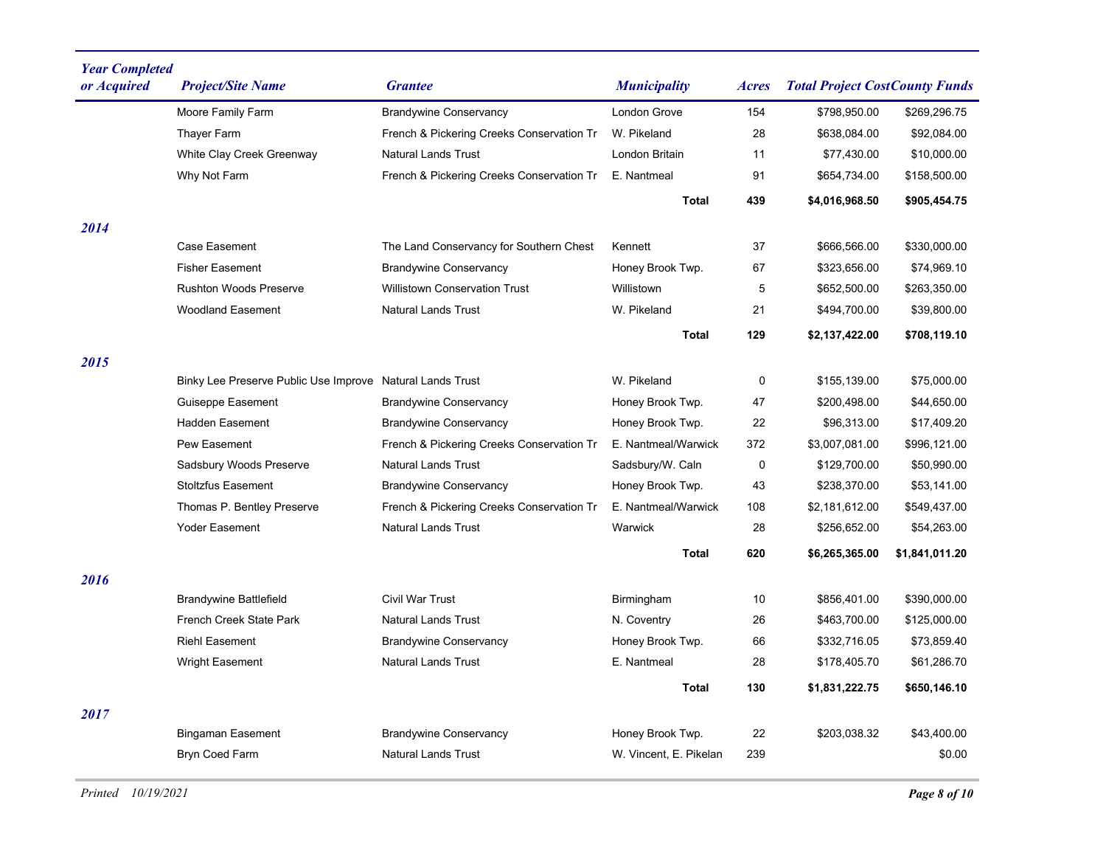| <b>Year Completed</b><br>or Acquired | <b>Project/Site Name</b>                                  | <b>Grantee</b>                            | <b>Municipality</b>    | Acres | <b>Total Project CostCounty Funds</b> |                |
|--------------------------------------|-----------------------------------------------------------|-------------------------------------------|------------------------|-------|---------------------------------------|----------------|
|                                      | Moore Family Farm                                         | <b>Brandywine Conservancy</b>             | <b>London Grove</b>    | 154   | \$798,950.00                          | \$269,296.75   |
|                                      | <b>Thayer Farm</b>                                        | French & Pickering Creeks Conservation Tr | W. Pikeland            | 28    | \$638,084.00                          | \$92,084.00    |
|                                      | White Clay Creek Greenway                                 | <b>Natural Lands Trust</b>                | London Britain         | 11    | \$77,430.00                           | \$10,000.00    |
|                                      | Why Not Farm                                              | French & Pickering Creeks Conservation Tr | E. Nantmeal            | 91    | \$654,734.00                          | \$158,500.00   |
|                                      |                                                           |                                           | <b>Total</b>           | 439   | \$4,016,968.50                        | \$905,454.75   |
| 2014                                 |                                                           |                                           |                        |       |                                       |                |
|                                      | Case Easement                                             | The Land Conservancy for Southern Chest   | Kennett                | 37    | \$666,566.00                          | \$330,000.00   |
|                                      | <b>Fisher Easement</b>                                    | <b>Brandywine Conservancy</b>             | Honey Brook Twp.       | 67    | \$323,656.00                          | \$74,969.10    |
|                                      | <b>Rushton Woods Preserve</b>                             | <b>Willistown Conservation Trust</b>      | Willistown             | 5     | \$652,500.00                          | \$263,350.00   |
|                                      | <b>Woodland Easement</b>                                  | <b>Natural Lands Trust</b>                | W. Pikeland            | 21    | \$494,700.00                          | \$39,800.00    |
|                                      |                                                           |                                           | <b>Total</b>           | 129   | \$2,137,422.00                        | \$708,119.10   |
| 2015                                 |                                                           |                                           |                        |       |                                       |                |
|                                      | Binky Lee Preserve Public Use Improve Natural Lands Trust |                                           | W. Pikeland            | 0     | \$155,139.00                          | \$75,000.00    |
|                                      | Guiseppe Easement                                         | <b>Brandywine Conservancy</b>             | Honey Brook Twp.       | 47    | \$200,498.00                          | \$44,650.00    |
|                                      | <b>Hadden Easement</b>                                    | <b>Brandywine Conservancy</b>             | Honey Brook Twp.       | 22    | \$96,313.00                           | \$17,409.20    |
|                                      | Pew Easement                                              | French & Pickering Creeks Conservation Tr | E. Nantmeal/Warwick    | 372   | \$3,007,081.00                        | \$996,121.00   |
|                                      | Sadsbury Woods Preserve                                   | <b>Natural Lands Trust</b>                | Sadsbury/W. Caln       | 0     | \$129,700.00                          | \$50,990.00    |
|                                      | <b>Stoltzfus Easement</b>                                 | <b>Brandywine Conservancy</b>             | Honey Brook Twp.       | 43    | \$238,370.00                          | \$53,141.00    |
|                                      | Thomas P. Bentley Preserve                                | French & Pickering Creeks Conservation Tr | E. Nantmeal/Warwick    | 108   | \$2,181,612.00                        | \$549,437.00   |
|                                      | <b>Yoder Easement</b>                                     | <b>Natural Lands Trust</b>                | Warwick                | 28    | \$256,652.00                          | \$54,263.00    |
|                                      |                                                           |                                           | <b>Total</b>           | 620   | \$6,265,365.00                        | \$1,841,011.20 |
| 2016                                 |                                                           |                                           |                        |       |                                       |                |
|                                      | <b>Brandywine Battlefield</b>                             | <b>Civil War Trust</b>                    | Birmingham             | 10    | \$856,401.00                          | \$390,000.00   |
|                                      | French Creek State Park                                   | <b>Natural Lands Trust</b>                | N. Coventry            | 26    | \$463,700.00                          | \$125,000.00   |
|                                      | <b>Riehl Easement</b>                                     | <b>Brandywine Conservancy</b>             | Honey Brook Twp.       | 66    | \$332,716.05                          | \$73,859.40    |
|                                      | <b>Wright Easement</b>                                    | <b>Natural Lands Trust</b>                | E. Nantmeal            | 28    | \$178,405.70                          | \$61,286.70    |
|                                      |                                                           |                                           | <b>Total</b>           | 130   | \$1,831,222.75                        | \$650,146.10   |
| 2017                                 |                                                           |                                           |                        |       |                                       |                |
|                                      | <b>Bingaman Easement</b>                                  | <b>Brandywine Conservancy</b>             | Honey Brook Twp.       | 22    | \$203,038.32                          | \$43,400.00    |
|                                      | <b>Bryn Coed Farm</b>                                     | <b>Natural Lands Trust</b>                | W. Vincent, E. Pikelan | 239   |                                       | \$0.00         |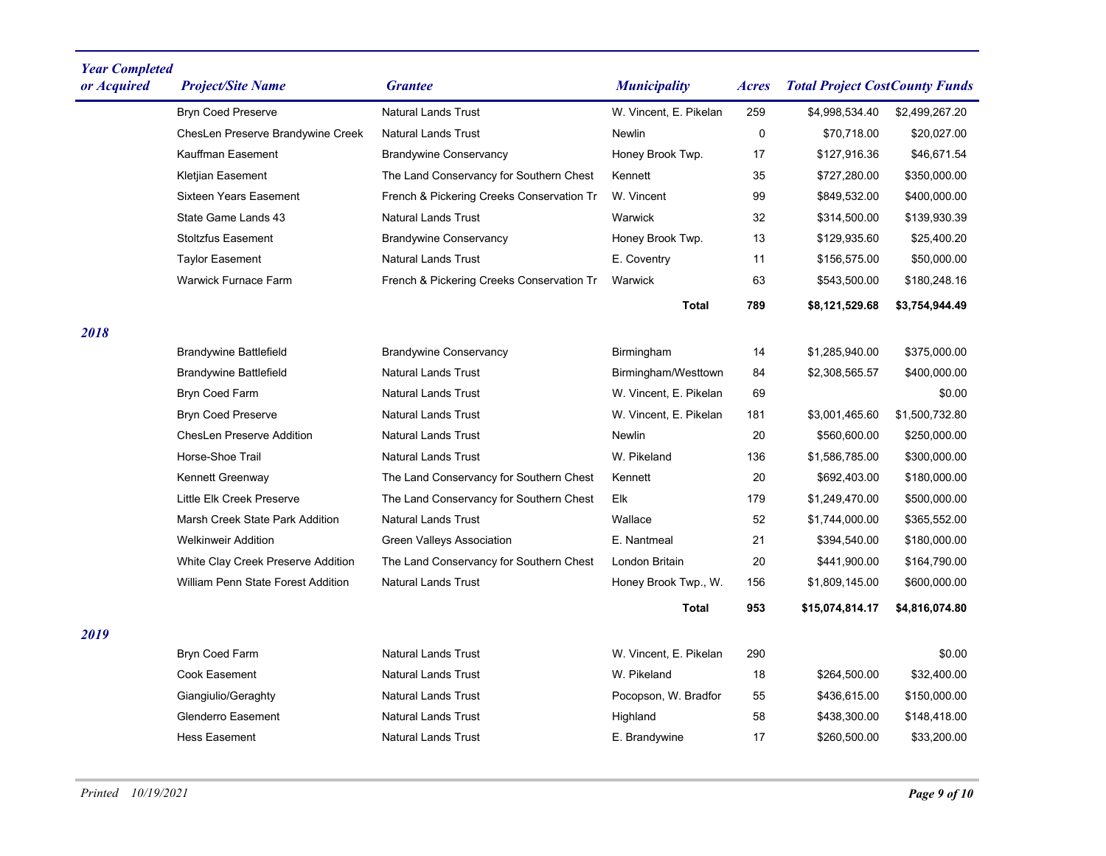| <b>Year Completed</b> |                                    |                                           |                            |              |                                       |                |
|-----------------------|------------------------------------|-------------------------------------------|----------------------------|--------------|---------------------------------------|----------------|
| or Acquired           | <b>Project/Site Name</b>           | <b>Grantee</b>                            | <i><b>Municipality</b></i> | <b>Acres</b> | <b>Total Project CostCounty Funds</b> |                |
|                       | <b>Bryn Coed Preserve</b>          | <b>Natural Lands Trust</b>                | W. Vincent, E. Pikelan     | 259          | \$4,998,534.40                        | \$2,499,267.20 |
|                       | ChesLen Preserve Brandywine Creek  | <b>Natural Lands Trust</b>                | <b>Newlin</b>              | 0            | \$70,718.00                           | \$20,027.00    |
|                       | Kauffman Easement                  | <b>Brandywine Conservancy</b>             | Honey Brook Twp.           | 17           | \$127,916.36                          | \$46,671.54    |
|                       | Kletjian Easement                  | The Land Conservancy for Southern Chest   | Kennett                    | 35           | \$727,280.00                          | \$350,000.00   |
|                       | <b>Sixteen Years Easement</b>      | French & Pickering Creeks Conservation Tr | W. Vincent                 | 99           | \$849,532.00                          | \$400,000.00   |
|                       | State Game Lands 43                | <b>Natural Lands Trust</b>                | Warwick                    | 32           | \$314,500.00                          | \$139,930.39   |
|                       | <b>Stoltzfus Easement</b>          | <b>Brandywine Conservancy</b>             | Honey Brook Twp.           | 13           | \$129,935.60                          | \$25,400.20    |
|                       | <b>Taylor Easement</b>             | <b>Natural Lands Trust</b>                | E. Coventry                | 11           | \$156,575.00                          | \$50,000.00    |
|                       | <b>Warwick Furnace Farm</b>        | French & Pickering Creeks Conservation Tr | Warwick                    | 63           | \$543,500.00                          | \$180,248.16   |
|                       |                                    |                                           | <b>Total</b>               | 789          | \$8,121,529.68                        | \$3,754,944.49 |
| 2018                  |                                    |                                           |                            |              |                                       |                |
|                       | <b>Brandywine Battlefield</b>      | <b>Brandywine Conservancy</b>             | Birmingham                 | 14           | \$1,285,940.00                        | \$375.000.00   |
|                       | <b>Brandywine Battlefield</b>      | <b>Natural Lands Trust</b>                | Birmingham/Westtown        | 84           | \$2,308,565.57                        | \$400,000.00   |
|                       | <b>Bryn Coed Farm</b>              | <b>Natural Lands Trust</b>                | W. Vincent, E. Pikelan     | 69           |                                       | \$0.00         |
|                       | <b>Bryn Coed Preserve</b>          | <b>Natural Lands Trust</b>                | W. Vincent, E. Pikelan     | 181          | \$3,001,465.60                        | \$1,500,732.80 |
|                       | <b>ChesLen Preserve Addition</b>   | <b>Natural Lands Trust</b>                | <b>Newlin</b>              | 20           | \$560,600.00                          | \$250,000.00   |
|                       | Horse-Shoe Trail                   | <b>Natural Lands Trust</b>                | W. Pikeland                | 136          | \$1,586,785.00                        | \$300,000.00   |
|                       | Kennett Greenway                   | The Land Conservancy for Southern Chest   | Kennett                    | 20           | \$692,403.00                          | \$180,000.00   |
|                       | Little Elk Creek Preserve          | The Land Conservancy for Southern Chest   | Elk                        | 179          | \$1,249,470.00                        | \$500,000.00   |
|                       | Marsh Creek State Park Addition    | <b>Natural Lands Trust</b>                | Wallace                    | 52           | \$1,744,000.00                        | \$365,552.00   |
|                       | <b>Welkinweir Addition</b>         | Green Valleys Association                 | E. Nantmeal                | 21           | \$394,540.00                          | \$180,000.00   |
|                       | White Clay Creek Preserve Addition | The Land Conservancy for Southern Chest   | London Britain             | 20           | \$441,900.00                          | \$164,790.00   |
|                       | William Penn State Forest Addition | <b>Natural Lands Trust</b>                | Honey Brook Twp., W.       | 156          | \$1,809,145.00                        | \$600,000.00   |
|                       |                                    |                                           | Total                      | 953          | \$15,074,814.17                       | \$4,816,074.80 |
| 2019                  |                                    |                                           |                            |              |                                       |                |
|                       | <b>Bryn Coed Farm</b>              | <b>Natural Lands Trust</b>                | W. Vincent, E. Pikelan     | 290          |                                       | \$0.00         |
|                       | <b>Cook Easement</b>               | <b>Natural Lands Trust</b>                | W. Pikeland                | 18           | \$264,500.00                          | \$32,400.00    |
|                       | Giangiulio/Geraghty                | <b>Natural Lands Trust</b>                | Pocopson, W. Bradfor       | 55           | \$436,615.00                          | \$150,000.00   |
|                       | <b>Glenderro Easement</b>          | <b>Natural Lands Trust</b>                | Highland                   | 58           | \$438,300.00                          | \$148,418.00   |
|                       | <b>Hess Easement</b>               | <b>Natural Lands Trust</b>                | E. Brandywine              | 17           | \$260,500.00                          | \$33,200.00    |
|                       |                                    |                                           |                            |              |                                       |                |